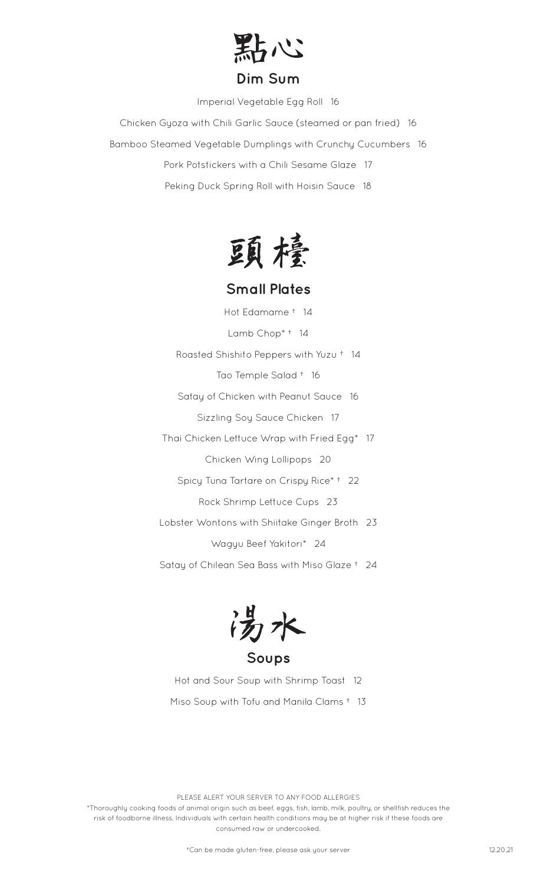

Imperial Vegetable Egg Roll 16

Chicken Gyoza with Chili Garlic Sauce (steamed or pan fried) 16 Bamboo Steamed Vegetable Dumplings with Crunchy Cucumbers 16 Pork Potstickers with a Chili Sesame Glaze 17 Peking Duck Spring Roll with Hoisin Sauce 18



## **Small Plates**

Hot Edamame † 14 Lamb Chop\* † 14 Roasted Shishito Peppers with Yuzu † 14 Tao Temple Salad † 16 Satay of Chicken with Peanut Sauce 16 Sizzling Soy Sauce Chicken 17 Thai Chicken Lettuce Wrap with Fried Egg\* 17 Chicken Wing Lollipops 20 Spicy Tuna Tartare on Crispy Rice\* † 22 Rock Shrimp Lettuce Cups 23 Lobster Wontons with Shiitake Ginger Broth 23 Wagyu Beef Yakitori\* 24

Satay of Chilean Sea Bass with Miso Glaze † 24

汤水

**Soups**

Hot and Sour Soup with Shrimp Toast 12 Miso Soup with Tofu and Manila Clams † 13

PLEASE ALERT YOUR SERVER TO ANY FOOD ALLERGIES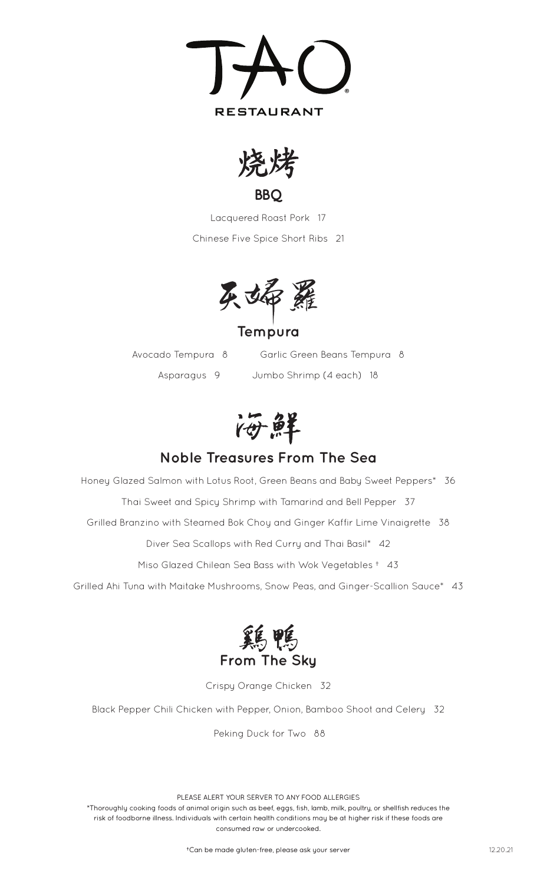



**BBQ**

Lacquered Roast Pork 17 Chinese Five Spice Short Ribs 21



**Tempura**

Avocado Tempura 8 Garlic Green Beans Tempura 8 Asparagus 9 Jumbo Shrimp (4 each) 18

海鮮

## **Noble Treasures From The Sea**

Honey Glazed Salmon with Lotus Root, Green Beans and Baby Sweet Peppers\* 36 Thai Sweet and Spicy Shrimp with Tamarind and Bell Pepper 37 Grilled Branzino with Steamed Bok Choy and Ginger Kaffir Lime Vinaigrette 38 Diver Sea Scallops with Red Curry and Thai Basil\* 42

Miso Glazed Chilean Sea Bass with Wok Vegetables † 43

Grilled Ahi Tuna with Maitake Mushrooms, Snow Peas, and Ginger-Scallion Sauce\* 43



Crispy Orange Chicken 32

Black Pepper Chili Chicken with Pepper, Onion, Bamboo Shoot and Celery 32

Peking Duck for Two 88

PLEASE ALERT YOUR SERVER TO ANY FOOD ALLERGIES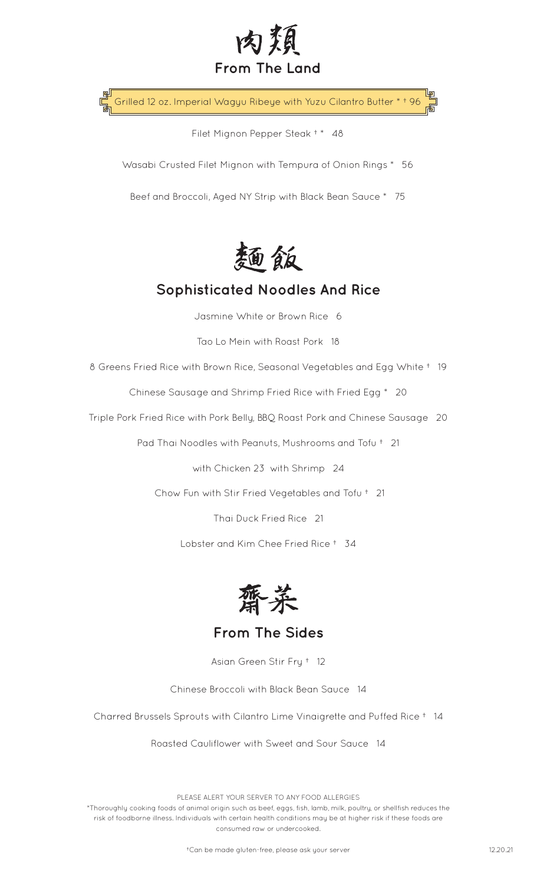

Grilled 12 oz. Imperial Wagyu Ribeye with Yuzu Cilantro Butter \* † 96

Filet Mignon Pepper Steak <sup>+</sup> \* 48

Wasabi Crusted Filet Mignon with Tempura of Onion Rings \* 56

Beef and Broccoli, Aged NY Strip with Black Bean Sauce \* 75



## **Sophisticated Noodles And Rice**

Jasmine White or Brown Rice 6

Tao Lo Mein with Roast Pork 18

8 Greens Fried Rice with Brown Rice, Seasonal Vegetables and Egg White † 19

Chinese Sausage and Shrimp Fried Rice with Fried Egg \* 20

Triple Pork Fried Rice with Pork Belly, BBQ Roast Pork and Chinese Sausage 20

Pad Thai Noodles with Peanuts, Mushrooms and Tofu † 21

with Chicken 23 with Shrimp 24

Chow Fun with Stir Fried Vegetables and Tofu † 21

Thai Duck Fried Rice 21

Lobster and Kim Chee Fried Rice † 34



**From The Sides**

Asian Green Stir Fry † 12

Chinese Broccoli with Black Bean Sauce 14

Charred Brussels Sprouts with Cilantro Lime Vinaigrette and Puffed Rice † 14

Roasted Cauliflower with Sweet and Sour Sauce 14

PLEASE ALERT YOUR SERVER TO ANY FOOD ALLERGIES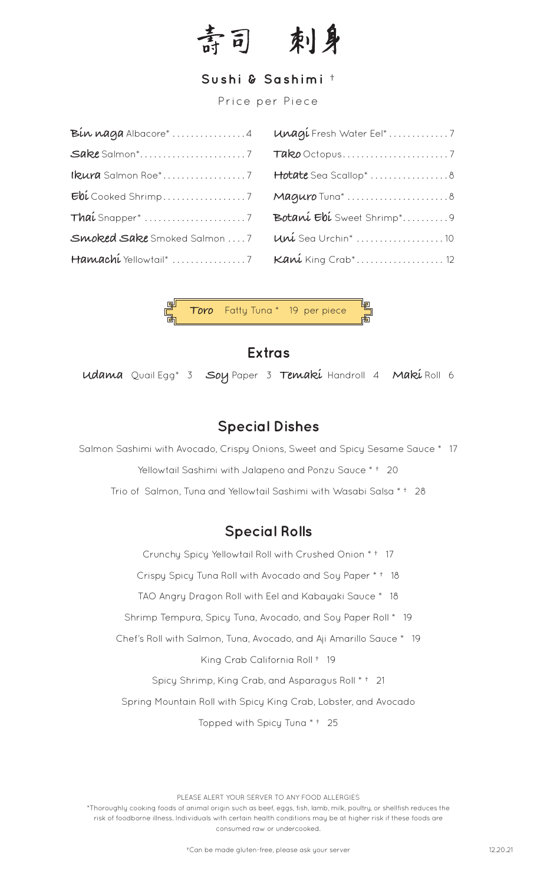

#### **Sushi & Sashimi** †

Price per Piece

| Bin naga Albacore*4          |
|------------------------------|
| Sake Salmon <sup>*</sup> 7   |
| Ikura Salmon Roe*7           |
|                              |
| Thai Snapper* 7              |
| Smoked Sake Smoked Salmon  7 |
| Hamachi Yellowtail* 7        |

| Unagi Fresh Water Eel*7    |
|----------------------------|
|                            |
| Hotate Sea Scallop*  8     |
| Maguro Tuna <sup>*</sup> 8 |
| Botaní Ebí Sweet Shrimp*9  |
| Uni Sea Urchin* 10         |
| Kani King Crab* 12         |



## **Extras**

**Udama** Quail Egg\* 3 **Soy** Paper 3 **Temaki** Handroll 4 **Maki** Roll 6

## **Special Dishes**

Salmon Sashimi with Avocado, Crispy Onions, Sweet and Spicy Sesame Sauce \* 17

Yellowtail Sashimi with Jalapeno and Ponzu Sauce \* † 20

Trio of Salmon, Tuna and Yellowtail Sashimi with Wasabi Salsa \* † 28

## **Special Rolls**

Crunchy Spicy Yellowtail Roll with Crushed Onion \* † 17 Crispy Spicy Tuna Roll with Avocado and Soy Paper \* † 18 TAO Angry Dragon Roll with Eel and Kabayaki Sauce \* 18 Shrimp Tempura, Spicy Tuna, Avocado, and Soy Paper Roll \* 19 Chef's Roll with Salmon, Tuna, Avocado, and Aji Amarillo Sauce \* 19 King Crab California Roll † 19 Spicy Shrimp, King Crab, and Asparagus Roll \* † 21 Spring Mountain Roll with Spicy King Crab, Lobster, and Avocado Topped with Spicy Tuna \* † 25

PLEASE ALERT YOUR SERVER TO ANY FOOD ALLERGIES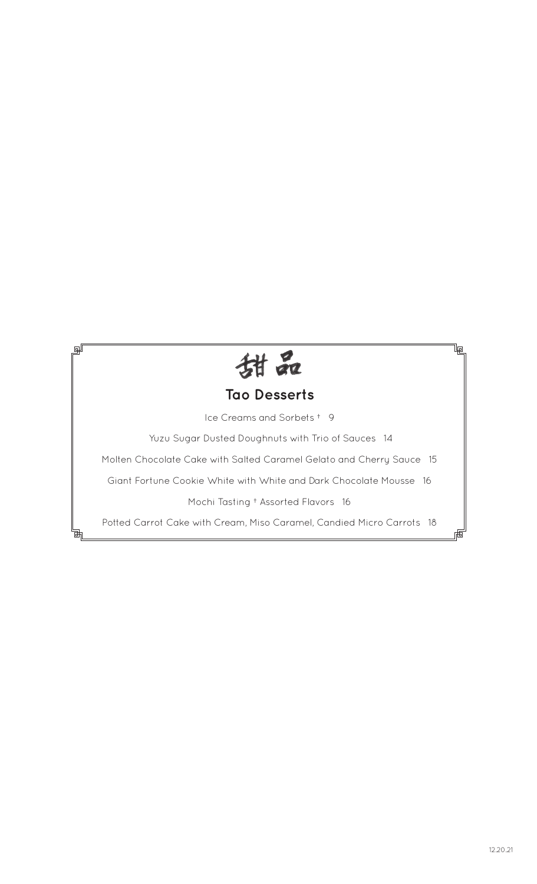

剛

## **Tao Desserts**

Ice Creams and Sorbets † 9

Yuzu Sugar Dusted Doughnuts with Trio of Sauces 14

Molten Chocolate Cake with Salted Caramel Gelato and Cherry Sauce 15

Giant Fortune Cookie White with White and Dark Chocolate Mousse 16

Mochi Tasting † Assorted Flavors 16

Potted Carrot Cake with Cream, Miso Caramel, Candied Micro Carrots 18

le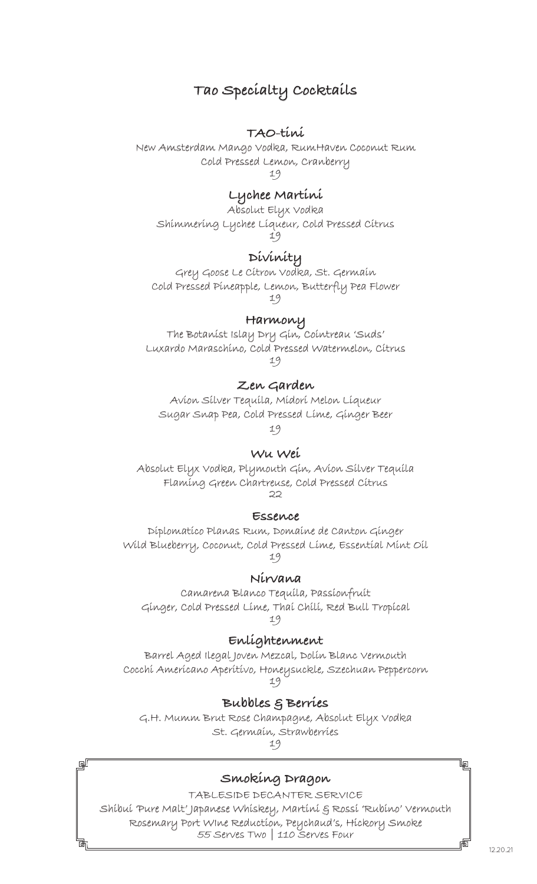## **Tao Specialty Cocktails**

#### **TAO-tini**

New Amsterdam Mango Vodka, RumHaven Coconut Rum Cold Pressed Lemon, Cranberry 19

**Lychee Martini**

Absolut Elyx Vodka Shimmering Lychee Liqueur, Cold Pressed Citrus 19

#### **Divinity**

Grey Goose Le Citron Vodka, St. Germain Cold Pressed Pineapple, Lemon, Butterfly Pea Flower 19

**Harmony**

The Botanist Islay Dry Gin, Cointreau 'Suds' Luxardo Maraschino, Cold Pressed Watermelon, Citrus 19

#### **Zen Garden**

Avion Silver Tequila, Midori Melon Liqueur Sugar Snap Pea, Cold Pressed Lime, Ginger Beer

19

#### **Wu Wei**

Absolut Elyx Vodka, Plymouth Gin, Avion Silver Tequila Flaming Green Chartreuse, Cold Pressed Citrus  $22$ 

#### **Essence**

Diplomatico Planas Rum, Domaine de Canton Ginger Wild Blueberry, Coconut, Cold Pressed Lime, Essential Mint Oil 19

**Nirvana** 

Camarena Blanco Tequila, Passionfruit Ginger, Cold Pressed Lime, Thai Chili, Red Bull Tropical 19

#### **Enlightenment**

Barrel Aged Ilegal Joven Mezcal, Dolin Blanc Vermouth Cocchi Americano Aperitivo, Honeysuckle, Szechuan Peppercorn 19

**Bubbles & Berries**

G.H. Mumm Brut Rose Champagne, Absolut Elyx Vodka St. Germain, Strawberries 19

**Smoking Dragon**

⊞

TABLESIDE DECANTER SERVICE Shibui 'Pure Malt' Japanese Whiskey, Martini & Rossi 'Rubino' Vermouth Rosemary Port WIne Reduction, Peychaud's, Hickory Smoke 55 Serves Two | 110 Serves Four

12.20.21

lp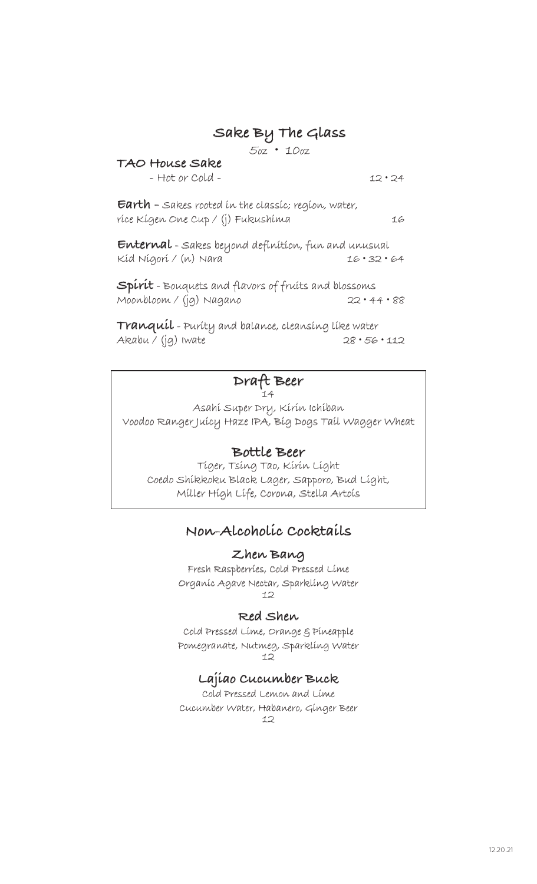## **Sake By The Glass**

5oz • 10oz

#### **TAO House Sake** - Hot or Cold - 12 • 24

**Earth -** Sakes rooted in the classic; region, water, rice Kigen One Cup / (j) Fukushima 16

**Enternal** - Sakes beyond definition, fun and unusual Kid Nigori / (n) Nara 16 • 32 • 64

**Spirit** - Bouquets and flavors of fruits and blossoms Moonbloom / (jg) Nagano 22 • 44 • 88

**Tranquil** - Purity and balance, cleansing like water Akabu / (jg) Iwate 28 • 56 • 112

#### **Draft Beer** 14

Asahi Super Dry, Kirin Ichiban Voodoo Ranger Juicy Haze IPA, Big Dogs Tail Wagger Wheat

#### **Bottle Beer**

Tiger, Tsing Tao, Kirin Light Coedo Shikkoku Black Lager, Sapporo, Bud Light, Miller High Life, Corona, Stella Artois

### **Non-Alcoholic Cocktails**

**Zhen Bang** Fresh Raspberries, Cold Pressed Lime Organic Agave Nectar, Sparkling Water 12

#### **Red Shen**

Cold Pressed Lime, Orange & Pineapple Pomegranate, Nutmeg, Sparkling Water 12

#### **Lajiao Cucumber Buck**

Cold Pressed Lemon and Lime Cucumber Water, Habanero, Ginger Beer 12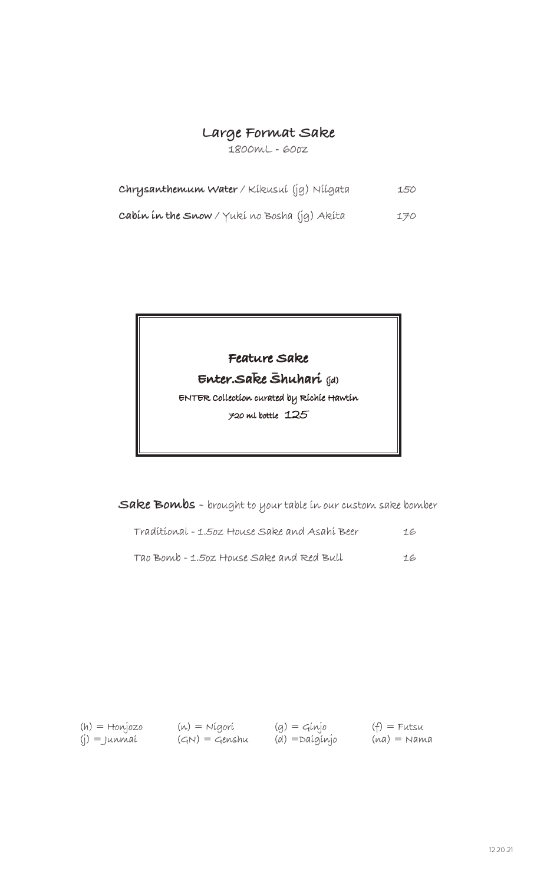## **Large Format Sake**

1800mL - 60oz

| Chrysanthemum Water / Kikusui (jg) Niigata   | 150 |
|----------------------------------------------|-----|
| cabin in the Snow / Yuki no Bosha (jg) Akita | 170 |

# **Feature Sake \_ \_ . Enter.Sake Shuhari** (jd)

ENTER Collection curated by Richie Hawtin 720 ml bottle 125

**Sake Bombs** - brought to your table in our custom sake bomber

| Tradítíonal - 1.502 House Sake and Asahí Beer | 16 |
|-----------------------------------------------|----|
| Tao Bomb - 1.50z House Sake and Red Bull      | 16 |

(h) = Honjozo (j) = Junmai

(n) = Nigori  $(GN) = Genshu$   $(g) =$  Ginjo (d) =Daiginjo  $(f)$  = Futsu  $(na) = Nama$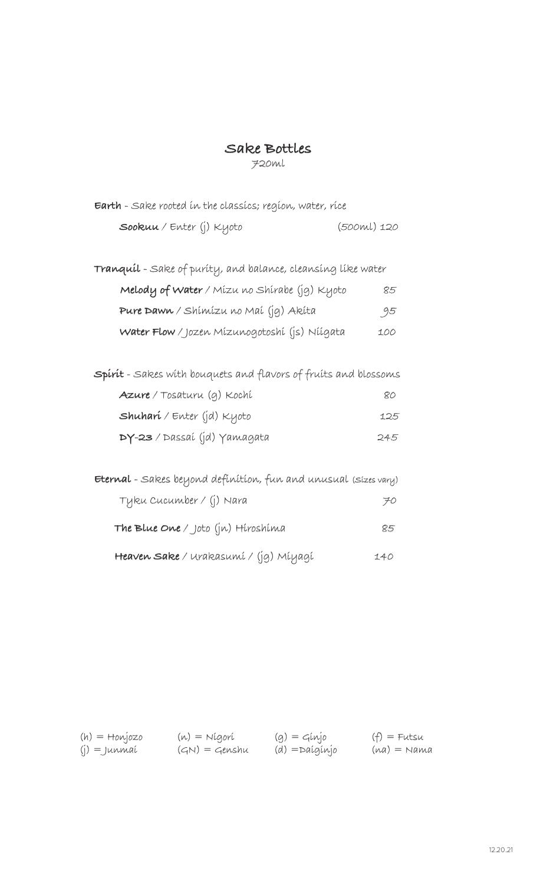## **Sake Bottles**

720ml

| <b>Earth</b> - Sake rooted in the classics; region, water, rice        |             |
|------------------------------------------------------------------------|-------------|
| Sookuu / Enter (j) Kyoto                                               | (500ml) 120 |
|                                                                        |             |
| <b>Tranquil</b> - Sake of purity, and balance, cleansing like water    |             |
| <b>Melody of Water</b> / Mízu no Shírabe (jg) Kyoto                    | 85          |
| Pure Dawn / Shimizu no Mai (jg) Akita                                  | 95          |
| Water Flow / Jozen Mízunogotoshí (js) Níígata                          | 100         |
|                                                                        |             |
| <b>Spirit</b> - Sakes with bouquets and flavors of fruits and blossoms |             |
| <b>Azure</b> / Tosaturu (g) Kochí                                      | 80          |
| <b>Shuhari</b> / Enter (jd) Kyoto                                      | 125         |
| <b>DY-23</b> / Dassaí (jd) Yamagata                                    | 245         |
|                                                                        |             |
| <b>Eternal</b> - Sakes beyond definition, fun and unusual (sizes vary) |             |
| Tyku Cucumber / (j) Nara                                               | 70          |
| The Blue One / Joto (jn) Hiroshima                                     | 85          |
| <b>Heaven Sake</b> / Urakasumí / (jg) Míyagí                           | 140         |

(h) = Honjozo (j) = Junmai

(n) = Nigori  $(GN) = Genshu$   $(g) =$  Ginjo (d) =Daiginjo  $(f)$  = Futsu  $(na) = Nama$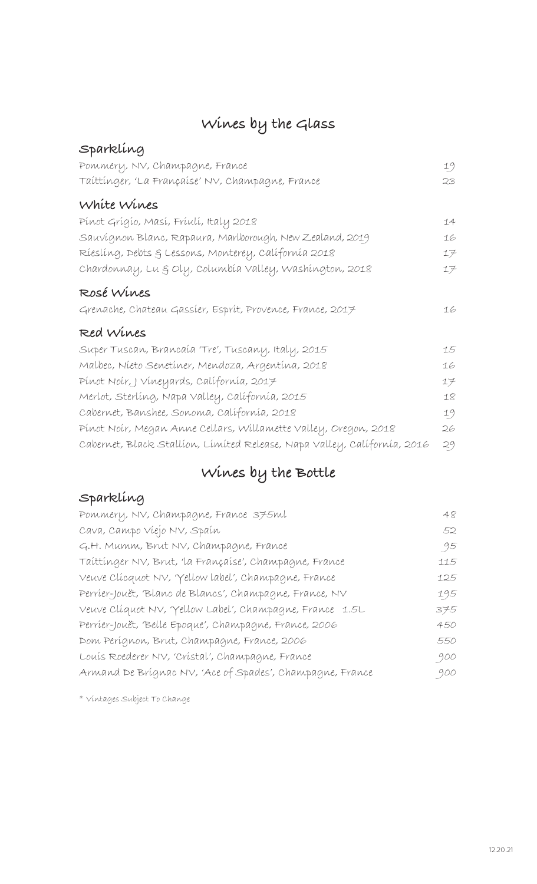## **Wines by the Glass**

| Sparkling                                                                |    |
|--------------------------------------------------------------------------|----|
| Pommery, NV, Champagne, France                                           | 19 |
| Taíttínger, 'La Françaíse' NV, Champagne, France                         | 23 |
| White Wines                                                              |    |
| Pínot Grígío, Masí, Fríulí, Italy 2018                                   | 14 |
| Sauvígnon Blanc, Rapaura, Marlborough, New Zealand, 2019                 | 16 |
| Ríeslíng, Debts & Lessons, Monterey, Calífornía 2018                     | 17 |
| Chardonnay, Lu § Oly, Columbía Valley, Washíngton, 2018                  | 17 |
| ROSÉ Wines                                                               |    |
| Grenache, Chateau Gassier, Esprit, Provence, France, 2017                | 16 |
| Red Wines                                                                |    |
| Super Tuscan, Brancaía 'Tre', Tuscany, Italy, 2015                       | 15 |
| Malbec, Níeto Senetíner, Mendoza, Argentína, 2018                        | 16 |
| Pínot Noír, J Víneyards, Calífornía, 2017                                | 17 |
| Merlot, Sterlíng, Napa Valley, Calífornía, 2015                          | 18 |
| Cabernet, Banshee, Sonoma, Calífornía, 2018                              | 19 |
| Pinot Noir, Megan Anne Cellars, Willamette Valley, Oregon, 2018          | 26 |
| Cabernet, Black Stallíon, Límíted Release, Napa Valley, Calífornía, 2016 | 29 |

## **Wines by the Bottle**

## **Sparkling**

| Pommery, NV, Champagne, France 375ml                     | 48  |
|----------------------------------------------------------|-----|
| Cava, Campo Víejo NV, Spaín                              | 52  |
| G.H. Mumm, Brut NV, Champagne, France                    | 95  |
| Taíttínger NV, Brut, 'la Françaíse', Champagne, France   | 115 |
| Veuve Clícquot NV, 'Yellow label', Champagne, France     | 125 |
| Perrier-Jouët, Blanc de Blancs', Champagne, France, NV   | 195 |
| Veuve Clíquot NV, 'Yellow Label', Champagne, France 1.5L | 375 |
| Perrier-Jouët, Belle Epoque', Champagne, France, 2006    | 450 |
| Dom Perígnon, Brut, Champagne, France, 2006              | 550 |
| Louis Roederer NV, 'Cristal', Champagne, France          | 900 |
| Armand De Brígnac NV, 'Ace of Spades', Champagne, France | 900 |
|                                                          |     |

\* Vintages Subject To Change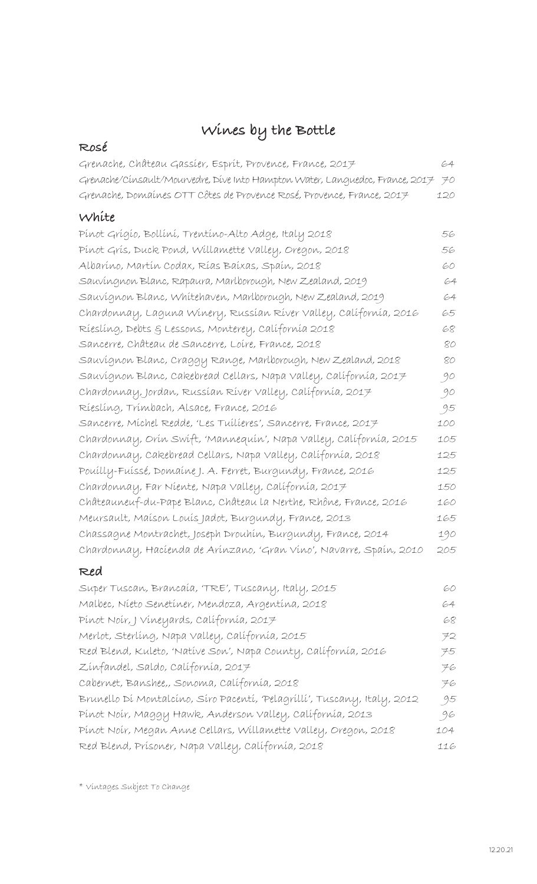## **Wines by the Bottle**

| ROSÉ                                                                          |     |
|-------------------------------------------------------------------------------|-----|
| Grenache, Château Gassier, Esprit, Provence, France, 2017                     | 64  |
| Grenache/Cinsault/Mourvedre, Dive Into Hampton Water, Languedoc, France, 2017 | 70  |
| Grenache, Domaines OTT Côtes de Provence Rosé, Provence, France, 2017         | 120 |
| White                                                                         |     |
| Pínot Grígío, Bollíní, Trentíno-Alto Adge, Italy 2018                         | 56  |
| Pinot Gris, Duck Pond, Willamette Valley, Oregon, 2018                        | 56  |
| Albaríno, Martín Codax, Rías Baíxas, Spaín, 2018                              | 60  |
| Sauvingnon Blanc, Rapaura, Marlborough, New Zealand, 2019                     | 64  |
| Sauvígnon Blanc, Whitehaven, Marlborough, New Zealand, 2019                   | 64  |
| Chardonnay, Laguna Winery, Russian River Valley, California, 2016             | 65  |
| Ríeslíng, Debts & Lessons, Monterey, Calífornía 2018                          | 68  |
| Sancerre, Château de Sancerre, Loire, France, 2018                            | 80  |
| Sauvígnon Blanc, Craggy Range, Marlborough, New Zealand, 2018                 | 80  |
| Sauvígnon Blanc, Cakebread Cellars, Napa Valley, Calífornía, 2017             | 90  |
| Chardonnay, Jordan, Russían Ríver Valley, Calífornía, 2017                    | 90  |
| Ríeslíng, Trímbach, Alsace, France, 2016                                      | 95  |
| Sancerre, Michel Redde, 'Les Tuilieres', Sancerre, France, 2017               | 100 |
| Chardonnay, Orín Swíft, 'Mannequín', Napa Valley, Calífornía, 2015            | 105 |
| Chardonnay, Cakebread Cellars, Napa Valley, Calífornía, 2018                  | 125 |
| Pouilly-Fuissé, Domaine J. A. Ferret, Burgundy, France, 2016                  | 125 |
| Chardonnay, Far Niente, Napa Valley, California, 2017                         | 150 |
| Châteauneuf-du-Pape Blanc, Château la Nerthe, Rhône, France, 2016             | 160 |
| Meursault, Maíson Louís Jadot, Burgundy, France, 2013                         | 165 |
| Chassagne Montrachet, Joseph Drouhín, Burgundy, France, 2014                  | 190 |
| Chardonnay, Hacíenda de Arínzano, 'Gran Víno', Navarre, Spaín, 2010           | 205 |
| Red                                                                           |     |
| Super Tuscan, Brancaía, 'TRE', Tuscany, Italy, 2015                           | 60  |
| Malbec, Níeto Senetíner, Mendoza, Argentína, 2018                             | 64  |
| Pínot Noír, J Víneyards, Calífornía, 2017                                     | 68  |
| Merlot, Sterlíng, Napa Valley, Calífornía, 2015                               | 72  |
| Red Blend, Kuleto, 'Natíve Son', Napa County, Calífornía, 2016                | 75  |
| Zínfandel, Saldo, Calífornía, 2017                                            | 76  |
| Cabernet, Banshee,, Sonoma, Calífornía, 2018                                  | 76  |
| Brunello Dí Montalcíno, Síro Pacentí, 'Pelagríllí', Tuscany, Italy, 2012      | 95  |
| Pínot Noír, Maggy Hawk, Anderson Valley, Calífornía, 2013                     | 96  |
| Pinot Noir, Megan Anne Cellars, Willamette Valley, Oregon, 2018               | 104 |
| Red Blend, Prísoner, Napa Valley, Calífornía, 2018                            | 116 |

\* Vintages Subject To Change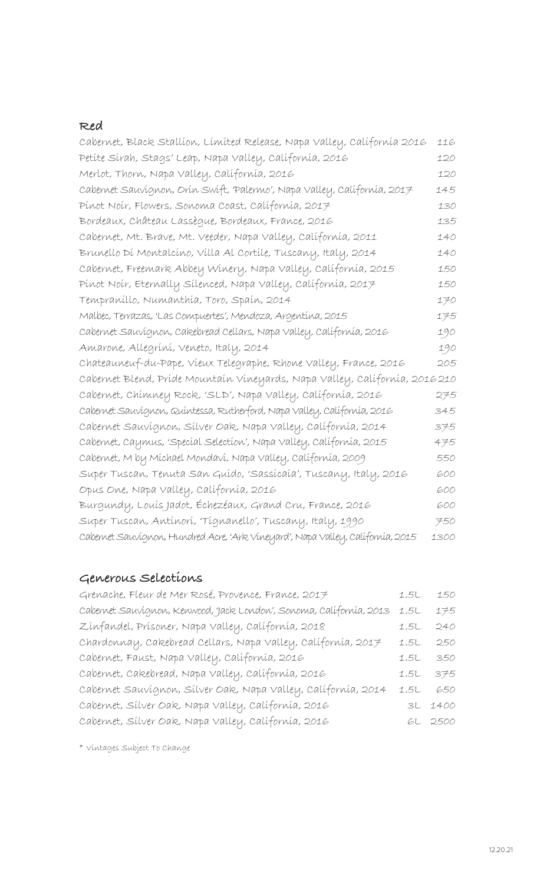#### **Red**

| Cabernet, Black Stallion, Limited Release, Napa Valley, California 2016         | 116  |
|---------------------------------------------------------------------------------|------|
| Petíte Sírah, Stags' Leap, Napa Valley, Calífornía, 2016                        | 120  |
| Merlot, Thorn, Napa Valley, Calífornía, 2016                                    | 120  |
| Cabernet Sauvignon, Orín Swift, Palermo', Napa Valley, Californía, 2017         | 145  |
| Pínot Noír, Flowers, Sonoma Coast, Calífornía, 2017                             | 130  |
| Bordeaux, Château Lassègue, Bordeaux, France, 2016                              | 135  |
| Cabernet, Mt. Brave, Mt. Veeder, Napa Valley, Calífornía, 2011                  | 140  |
| Brunello Dí Montalcíno, Vílla Al Cortíle, Tuscany, Italy, 2014                  | 140  |
| Cabernet, Freemark Abbey Winery, Napa Valley, Californía, 2015                  | 150  |
| Pínot Noír, Eternally Sílenced, Napa Valley, Calífornía, 2017                   | 150  |
| Tempraníllo, Numanthía, Toro, Spaín, 2014                                       | 170  |
| Malbec, Terrazas, 'Las Compuertes', Mendoza, Argentína, 2015                    | 175  |
| Cabernet Sauvignon, Cakebread Cellars, Napa Valley, Calífornía, 2016            | 190  |
| Amarone, Allegríní, Veneto, Italy, 2014                                         | 190  |
| Chateauneuf-du-Pape, Vieux Telegraphe, Rhone Valley, France, 2016               | 205  |
| Cabernet Blend, Príde Mountaín Vineyards, Napa Valley, Calífornía, 2016 210     |      |
| Cabernet, Chímney Rock, 'SLD', Napa Valley, Calífornía, 2016                    | 275  |
| Cabernet Sauvígnon, Quíntessa, Rutherford, Napa Valley, Calífornía, 2016        | 345  |
| Cabernet Sauvígnon, Sílver Oak, Napa Valley, Calífornía, 2014                   | 375  |
| Cabernet, Caymus, 'Specíal Selection', Napa Valley, Californía, 2015            | 475  |
| Cabernet, M by Míchael Mondaví, Napa Valley, Calífornía, 2009                   | 550  |
| Super Tuscan, Tenuta San Guído, 'Sassícaía', Tuscany, Italy, 2016               | 600  |
| Opus One, Napa Valley, Calífornía, 2016                                         | 600  |
| Burgundy, Louís Jadot, Échezéaux, Grand Cru, France, 2016                       | 600  |
| Super Tuscan, Antínorí, 'Tígnanello', Tuscany, Italy, 1990                      | 750  |
| Cabernet Sauvígnon, Hundred Acre, 'Ark Vineyard', Napa Valley, Calífornía, 2015 | 1300 |

## **Generous Selections**

| Grenache, Fleur de Mer Rosé, Provence, France, 2017                 |      | 1.5L 150 |
|---------------------------------------------------------------------|------|----------|
| Cabernet Sauvignon, Kenwood, Jack London', Sonoma, Calífornía, 2013 | 1.5L | 175      |
| Zínfandel, Prísoner, Napa Valley, Calífornía, 2018                  |      | 1.5L 240 |
| Chardonnay, Cakebread Cellars, Napa Valley, Calífornía, 2017        |      | 1.5L 250 |
| cabernet, Faust, Napa Valley, Calífornía, 2016                      |      | 1.5L 350 |
| cabernet, cakebread, Napa valley, calífornía, 2016                  |      | 1.5L 375 |
| Cabernet Sauvignon, Sílver Oak, Napa Valley, Calífornía, 2014       |      | 1.5L 650 |
| Cabernet, Sílver Oak, Napa Valley, Calífornía, 2016                 |      | 3L 1400  |
| Cabernet, Sílver Oak, Napa Valley, Calífornía, 2016                 |      | GL 2500  |
|                                                                     |      |          |

\* Vintages Subject To Change